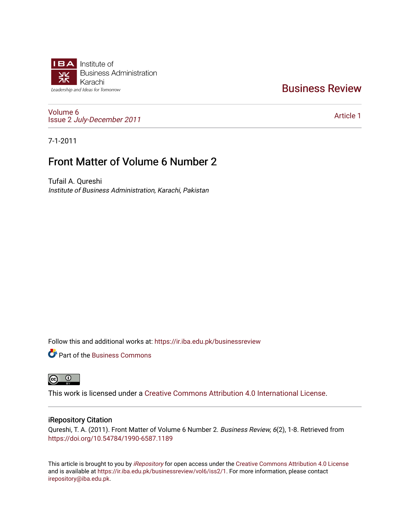

# [Business Review](https://ir.iba.edu.pk/businessreview)

[Volume 6](https://ir.iba.edu.pk/businessreview/vol6) Issue 2 [July-December 2011](https://ir.iba.edu.pk/businessreview/vol6/iss2)

[Article 1](https://ir.iba.edu.pk/businessreview/vol6/iss2/1) 

7-1-2011

# Front Matter of Volume 6 Number 2

Tufail A. Qureshi Institute of Business Administration, Karachi, Pakistan

Follow this and additional works at: [https://ir.iba.edu.pk/businessreview](https://ir.iba.edu.pk/businessreview?utm_source=ir.iba.edu.pk%2Fbusinessreview%2Fvol6%2Fiss2%2F1&utm_medium=PDF&utm_campaign=PDFCoverPages) 

**P** Part of the [Business Commons](http://network.bepress.com/hgg/discipline/622?utm_source=ir.iba.edu.pk%2Fbusinessreview%2Fvol6%2Fiss2%2F1&utm_medium=PDF&utm_campaign=PDFCoverPages)



This work is licensed under a [Creative Commons Attribution 4.0 International License](https://creativecommons.org/licenses/by/4.0/).

## iRepository Citation

Qureshi, T. A. (2011). Front Matter of Volume 6 Number 2. Business Review, 6(2), 1-8. Retrieved from <https://doi.org/10.54784/1990-6587.1189>

This article is brought to you by [iRepository](https://ir.iba.edu.pk/) for open access under the Creative Commons Attribution 4.0 License and is available at [https://ir.iba.edu.pk/businessreview/vol6/iss2/1.](https://ir.iba.edu.pk/businessreview/vol6/iss2/1) For more information, please contact [irepository@iba.edu.pk.](mailto:irepository@iba.edu.pk)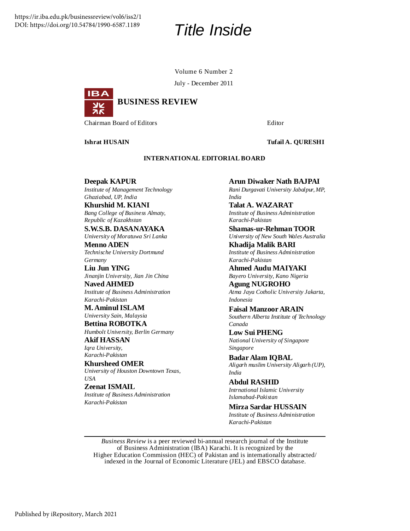# *Title Inside*

Volume 6 Number 2

July - December 2011



**Chairman Board of Editors Editor** Editor **Editor Editor** 

## **Ishrat HUSAIN Tufail A. QURESHI**

#### **INTERNATIONAL EDITORIAL BOARD**

**Deepak KAPUR** *Institute of Management Technology Ghaziabad, UP, India*

**Khurshid M. KIANI** *Bang College of Business Almaty, Republic of Kazakhstan*

**S.W.S.B. DASANAYAKA** *University of Moratuwa Sri Lanka*

**Menno ADEN** *Technische University Dortmund Germany*

**Liu Jun YING** *Jinanjin University, Jian Jin China*

**Naved AHMED** *Institute of Business Administration Karachi-Pakistan*

**M. AminulISLAM** *University Sain, Malaysia*

**Bettina ROBOTKA** *Humbolt University, Berlin Germany*

**Akif HASSAN** *Iqra University, Karachi-Pakistan*

**Khursheed OMER** *University of Houston Downtown Texas, USA*

**Zeenat ISMAIL** *Institute of Business Administration Karachi-Pakistan*

**Arun Diwaker Nath BAJPAI** *Rani Durgavati University Jabalpur, MP, India*

**Talat A. WAZARAT** *Institute of Business Administration Karachi-Pakistan*

**Shamas-ur-Rehman TOOR**

*University of New South Wales Australia* **Khadija Malik BARI**

*Institute of Business Administration Karachi-Pakistan*

**Ahmed Audu MAIYAKI** *Bayero University, Kano Nigeria*

**Agung NUGROHO** *Atma Jaya Cotholic University Jakarta, Indonesia*

**Faisal Manzoor ARAIN** *Southern Alberta Institute of Technology Canada*

**Low Sui PHENG** *National University of Singapore Singapore*

**Badar Alam IQBAL** *Aligarh muslim University Aligarh (UP), India*

**Abdul RASHID** *Intrnational Islamic University Islamabad-Pakistan*

**Mirza Sardar HUSSAIN** *Institute of Business Administration Karachi-Pakistan*

*Business Review* is a peer reviewed bi-annual research journal of the Institute of Business Administration (IBA) Karachi. It is recognized by the Higher Education Commission (HEC) of Pakistan and is internationally abstracted/ indexed in the Journal of Economic Literature (JEL) and EBSCO database.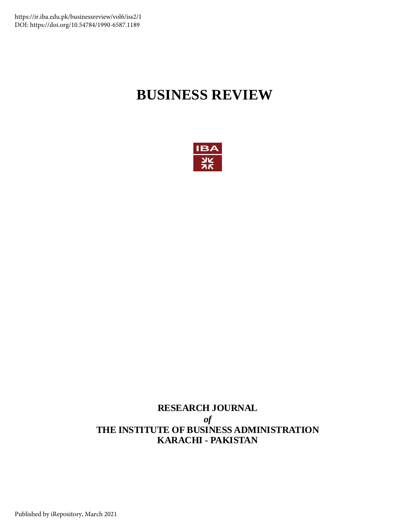# **BUSINESS REVIEW**



## **RESEARCH JOURNAL** *of* **THE INSTITUTE OF BUSINESS ADMINISTRATION KARACHI - PAKISTAN**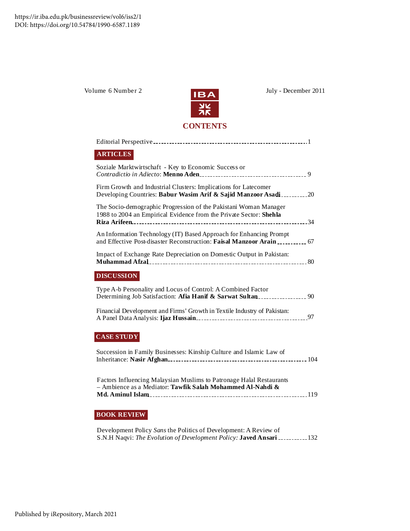

Volume 6 Number 2  $\overline{1124}$  July - December 2011

## Firm Growth and Industrial Clusters: Implications for Latecomer Developing Countries: **Babur Wasim Arif & Sajid Manzoor Asadi** 20 Soziale Marktwirtschaft - Key to Economic Success or *Contradictio in Adiecto*: **Menno Aden** 9 The Socio-demographic Progression of the Pakistani Woman Manager 1988 to 2004 an Empirical Evidence from the Private Sector: **Shehla Riza Arifeen** 34 An Information Technology (IT) Based Approach for Enhancing Prompt and Effective Post-disaster Reconstruction: **Faisal Manzoor Arain** 67 Editorial Perspective 1 **ARTICLES**

| Impact of Exchange Rate Depreciation on Domestic Output in Pakistan: |  |
|----------------------------------------------------------------------|--|
|                                                                      |  |

## **DISCUSSION**

| Type A-b Personality and Locus of Control: A Combined Factor<br>Determining Job Satisfaction: Afia Hanif & Sarwat Sultan |  |
|--------------------------------------------------------------------------------------------------------------------------|--|
| Financial Development and Firms' Growth in Textile Industry of Pakistan:                                                 |  |

A Panel Data Analysis: **Ijaz Hussain** 97

## **CASE STUDY**

| Succession in Family Businesses: Kinship Culture and Islamic Law of                                                                          |  |
|----------------------------------------------------------------------------------------------------------------------------------------------|--|
| <b>Factors Influencing Malaysian Muslims to Patronage Halal Restaurants</b><br>- Ambience as a Mediator: Tawfik Salah Mohammed Al-Nahdi $\&$ |  |

## **BOOK REVIEW**

Development Policy *Sans* the Politics of Development: A Review of S.N.H Naqvi: *The Evolution of Development Policy:* **Javed Ansari** 132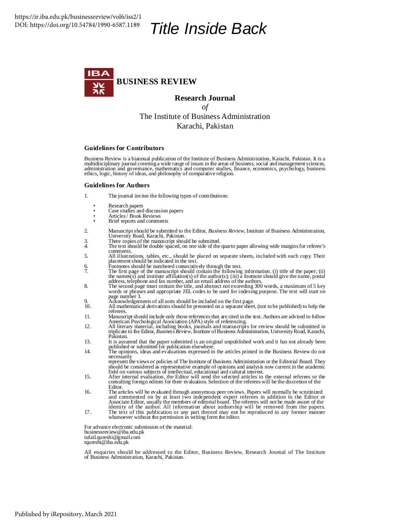# *Title Inside Back*



**Research Journal** *of* The Institute of Business Administration Karachi, Pakistan

#### **Guidelines for Contributors**

Business Review is a biannual publication of the Institute of Business Administration, Karachi, Pakistan. It is a multidisciplinary journal covering a wide range of issues in the areas of business, social and management sciences,<br>administration and governance, mathematics and computer studies, finance, economics, psychology, business ethics, logic, history of ideas, and philosophy of comparative religion.

#### **Guidelines for Authors**

- 1. The journal invites the following types of contributions:
	-
	- Research papers Case studies and discussion papers
	- Articles/ Book Reviews
- Brief reports and comments
- 2. Manuscriptshould be submitted to the Editor, *Business Review*, Institute of Business Administration, University Road, Karachi, Pakistan.
- 3. Three copies of the manuscript should be submitted. 4. The text should be double spaced, on one side of the quarto paper allowing wide marginsfor referee's comments.
- 5. All illustrations, tables, etc., should be placed on separate sheets, included with each copy. Their placementshould be indicated in the text.
- 
- 6. Footnotes should be numbered consecutively through the text.<br>The first page of the manuscript should contain the following information. (i) title of the paper; (ii)<br>the names(s) and institute affiliation(s) of the autho
- 8. The second page must contain the title, and abstract not exceeding 300 words, a maximum of 5 key words or phrases and appropriate JEL codes to be used for indexing purpose. The text will start on page number 3.
- 
- 9. Acknowledgements of allsorts should be included on the first page. 10. All mathematical derivationsshould be presented on a separate sheet, (not to be published) to help the referees.
- 11. Manuscriptshould include only those referencesthat are cited in the text. Authors are advised to follow American Psychological Association (APA) style of referencing.
- 12. All literary material, including books, journals and manuscripts for review should be submitted in triplicate to the Editor, *Business Review*, Institute ofBusiness Administration, UniversityRoad, Karachi, Pakistan.
- 13. It is assumed that the paper submitted is an original unpublished work and it has not already been<br>published or submitted for publication elsewhere.<br>14. The opinions, ideas and evaluations expressed in the articles pri
- necessarily
	- represent the views or policies of The Institute of Business Administration or the Editorial Board. They<br>should be considered as representative example of opinions and analysis now current in the academic<br>field on various
- 15. After internal evaluation, the Editor will send the selected articles to the external referees or the consulting foreign editors for their evaluation. Selection of the referees will be the discretion of the Editor.
- 16. The articles will be evaluated through anonymous peer reviews. Papers will normally be scrutinized and commented on by at least two independent expert referees in addition to the Editor or Associate Editor, usually the members of editorial board. The referees will not be made aware of the identity of the author. All information about authorship will be removed from the papers. 17. The text of this publication or any part thereof may not be reproduced in any formor manner
- whatsoever without the permission in writing form the editor.

For advance electronic submission of the material: businessreview@iba.edu.pk tufail.qureshi@gmail.com tqureshi@iba.edu.pk

All enquiries should be addressed to the Editor, Business Review, Research Journal of The Institute of Business Administration, Karachi, Pakistan.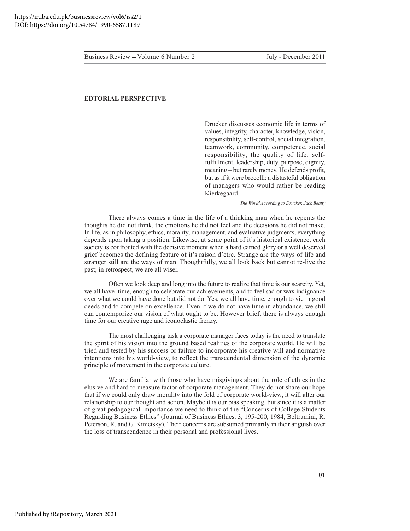#### **EDTORIAL PERSPECTIVE**

Drucker discusses economic life in terms of values, integrity, character, knowledge, vision, responsibility, self-control, social integration, teamwork, community, competence, social responsibility, the quality of life, selffulfillment, leadership, duty, purpose, dignity, meaning - but rarely money. He defends profit, but as if it were brocolli: a distasteful obligation of managers who would rather be reading Kierkegaard.

The World According to Drucker, Jack Beatty

There always comes a time in the life of a thinking man when he repents the thoughts he did not think, the emotions he did not feel and the decisions he did not make. In life, as in philosophy, ethics, morality, management, and evaluative judgments, everything depends upon taking a position. Likewise, at some point of it's historical existence, each society is confronted with the decisive moment when a hard earned glory or a well deserved grief becomes the defining feature of it's raison d'etre. Strange are the ways of life and stranger still are the ways of man. Thoughtfully, we all look back but cannot re-live the past; in retrospect, we are all wiser.

Often we look deep and long into the future to realize that time is our scarcity. Yet, we all have time, enough to celebrate our achievements, and to feel sad or wax indignance over what we could have done but did not do. Yes, we all have time, enough to vie in good deeds and to compete on excellence. Even if we do not have time in abundance, we still can contemporize our vision of what ought to be. However brief, there is always enough time for our creative rage and iconoclastic frenzy.

The most challenging task a corporate manager faces today is the need to translate the spirit of his vision into the ground based realities of the corporate world. He will be tried and tested by his success or failure to incorporate his creative will and normative intentions into his world-view, to reflect the transcendental dimension of the dynamic principle of movement in the corporate culture.

We are familiar with those who have misgivings about the role of ethics in the elusive and hard to measure factor of corporate management. They do not share our hope that if we could only draw morality into the fold of corporate world-view, it will alter our relationship to our thought and action. Maybe it is our bias speaking, but since it is a matter of great pedagogical importance we need to think of the "Concerns of College Students Regarding Business Ethics" (Journal of Business Ethics, 3, 195-200, 1984, Beltramini, R. Peterson, R. and G. Kimetsky). Their concerns are subsumed primarily in their anguish over the loss of transcendence in their personal and professional lives.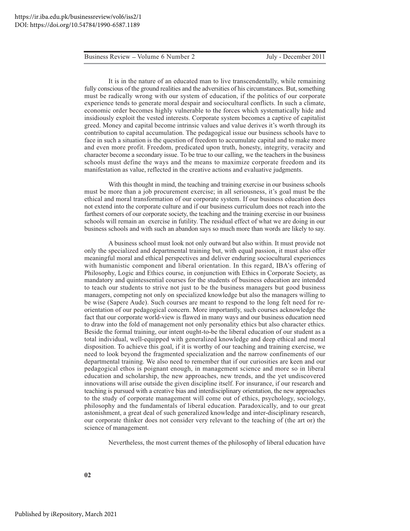It is in the nature of an educated man to live transcendentally, while remaining fully conscious of the ground realities and the adversities of his circumstances. But, something must be radically wrong with our system of education, if the politics of our corporate experience tends to generate moral despair and sociocultural conflicts. In such a climate, economic order becomes highly vulnerable to the forces which systematically hide and insidiously exploit the vested interests. Corporate system becomes a captive of capitalist greed. Money and capital become intrinsic values and value derives it's worth through its contribution to capital accumulation. The pedagogical issue our business schools have to face in such a situation is the question of freedom to accumulate capital and to make more and even more profit. Freedom, predicated upon truth, honesty, integrity, veracity and character become a secondary issue. To be true to our calling, we the teachers in the business schools must define the ways and the means to maximize corporate freedom and its manifestation as value, reflected in the creative actions and evaluative judgments.

With this thought in mind, the teaching and training exercise in our business schools must be more than a job procurement exercise; in all seriousness, it's goal must be the ethical and moral transformation of our corporate system. If our business education does not extend into the corporate culture and if our business curriculum does not reach into the farthest corners of our corporate society, the teaching and the training exercise in our business schools will remain an exercise in futility. The residual effect of what we are doing in our business schools and with such an abandon says so much more than words are likely to say.

A business school must look not only outward but also within. It must provide not only the specialized and departmental training but, with equal passion, it must also offer meaningful moral and ethical perspectives and deliver enduring sociocultural experiences with humanistic component and liberal orientation. In this regard, IBA's offering of Philosophy, Logic and Ethics course, in conjunction with Ethics in Corporate Society, as mandatory and quintessential courses for the students of business education are intended to teach our students to strive not just to be the business managers but good business managers, competing not only on specialized knowledge but also the managers willing to be wise (Sapere Aude). Such courses are meant to respond to the long felt need for reorientation of our pedagogical concern. More importantly, such courses acknowledge the fact that our corporate world-view is flawed in many ways and our business education need to draw into the fold of management not only personality ethics but also character ethics. Beside the formal training, our intent ought-to-be the liberal education of our student as a total individual, well-equipped with generalized knowledge and deep ethical and moral disposition. To achieve this goal, if it is worthy of our teaching and training exercise, we need to look beyond the fragmented specialization and the narrow confinements of our departmental training. We also need to remember that if our curiosities are keen and our pedagogical ethos is poignant enough, in management science and more so in liberal education and scholarship, the new approaches, new trends, and the yet undiscovered innovations will arise outside the given discipline itself. For insurance, if our research and teaching is pursued with a creative bias and interdisciplinary orientation, the new approaches to the study of corporate management will come out of ethics, psychology, sociology, philosophy and the fundamentals of liberal education. Paradoxically, and to our great astonishment, a great deal of such generalized knowledge and inter-disciplinary research, our corporate thinker does not consider very relevant to the teaching of (the art or) the science of management.

Nevertheless, the most current themes of the philosophy of liberal education have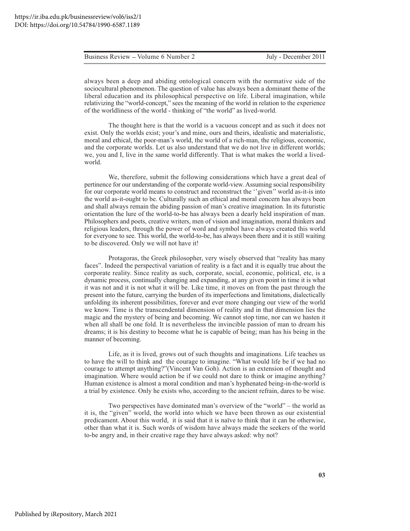always been a deep and abiding ontological concern with the normative side of the sociocultural phenomenon. The question of value has always been a dominant theme of the liberal education and its philosophical perspective on life. Liberal imagination, while relativizing the "world-concept," sees the meaning of the world in relation to the experience of the worldliness of the world - thinking of "the world" as lived-world.

The thought here is that the world is a vacuous concept and as such it does not exist. Only the worlds exist; your's and mine, ours and theirs, idealistic and materialistic, moral and ethical, the poor-man's world, the world of a rich-man, the religious, economic, and the corporate worlds. Let us also understand that we do not live in different worlds; we, you and I, live in the same world differently. That is what makes the world a livedworld.

We, therefore, submit the following considerations which have a great deal of pertinence for our understanding of the corporate world-view. Assuming social responsibility for our corporate world means to construct and reconstruct the "given" world as-it-is into the world as-it-ought to be. Culturally such an ethical and moral concern has always been and shall always remain the abiding passion of man's creative imagination. In its futuristic orientation the lure of the world-to-be has always been a dearly held inspiration of man. Philosophers and poets, creative writers, men of vision and imagination, moral thinkers and religious leaders, through the power of word and symbol have always created this world for everyone to see. This world, the world-to-be, has always been there and it is still waiting to be discovered. Only we will not have it!

Protagoras, the Greek philosopher, very wisely observed that "reality has many faces". Indeed the perspectival variation of reality is a fact and it is equally true about the corporate reality. Since reality as such, corporate, social, economic, political, etc, is a dynamic process, continually changing and expanding, at any given point in time it is what it was not and it is not what it will be. Like time, it moves on from the past through the present into the future, carrying the burden of its imperfections and limitations, dialectically unfolding its inherent possibilities, forever and ever more changing our view of the world we know. Time is the transcendental dimension of reality and in that dimension lies the magic and the mystery of being and becoming. We cannot stop time, nor can we hasten it when all shall be one fold. It is nevertheless the invincible passion of man to dream his dreams; it is his destiny to become what he is capable of being; man has his being in the manner of becoming.

Life, as it is lived, grows out of such thoughts and imaginations. Life teaches us to have the will to think and the courage to imagine. "What would life be if we had no courage to attempt anything?"(Vincent Van Goh). Action is an extension of thought and imagination. Where would action be if we could not dare to think or imagine anything? Human existence is almost a moral condition and man's hyphenated being-in-the-world is a trial by existence. Only he exists who, according to the ancient refrain, dares to be wise.

Two perspectives have dominated man's overview of the "world" - the world as it is, the "given" world, the world into which we have been thrown as our existential predicament. About this world, it is said that it is naïve to think that it can be otherwise, other than what it is. Such words of wisdom have always made the seekers of the world to-be angry and, in their creative rage they have always asked: why not?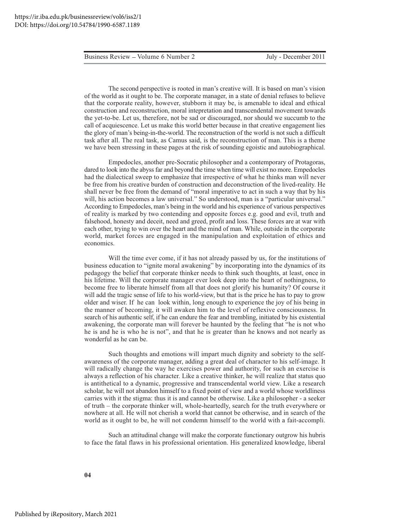The second perspective is rooted in man's creative will. It is based on man's vision of the world as it ought to be. The corporate manager, in a state of denial refuses to believe that the corporate reality, however, stubborn it may be, is amenable to ideal and ethical construction and reconstruction, moral intepretation and transcendental movement towards the yet-to-be. Let us, therefore, not be sad or discouraged, nor should we succumb to the call of acquiescence. Let us make this world better because in that creative engagement lies the glory of man's being-in-the-world. The reconstruction of the world is not such a difficult task after all. The real task, as Camus said, is the reconstruction of man. This is a theme we have been stressing in these pages at the risk of sounding egoistic and autobiographical.

Empedocles, another pre-Socratic philosopher and a contemporary of Protagoras, dared to look into the abyss far and beyond the time when time will exist no more. Empedocles had the dialectical sweep to emphasize that irrespective of what he thinks man will never be free from his creative burden of construction and deconstruction of the lived-reality. He shall never be free from the demand of "moral imperative to act in such a way that by his will, his action becomes a law universal." So understood, man is a "particular universal." According to Empedocles, man's being in the world and his experience of various perspectives of reality is marked by two contending and opposite forces e.g. good and evil, truth and falsehood, honesty and deceit, need and greed, profit and loss. These forces are at war with each other, trying to win over the heart and the mind of man. While, outside in the corporate world, market forces are engaged in the manipulation and exploitation of ethics and economics.

Will the time ever come, if it has not already passed by us, for the institutions of business education to "ignite moral awakening" by incorporating into the dynamics of its pedagogy the belief that corporate thinker needs to think such thoughts, at least, once in his lifetime. Will the corporate manager ever look deep into the heart of nothingness, to become free to liberate himself from all that does not glorify his humanity? Of course it will add the tragic sense of life to his world-view, but that is the price he has to pay to grow older and wiser. If he can look within, long enough to experience the joy of his being in the manner of becoming, it will awaken him to the level of reflexive consciousness. In search of his authentic self, if he can endure the fear and trembling, initiated by his existential awakening, the corporate man will forever be haunted by the feeling that "he is not who he is and he is who he is not", and that he is greater than he knows and not nearly as wonderful as he can be.

Such thoughts and emotions will impart much dignity and sobriety to the selfawareness of the corporate manager, adding a great deal of character to his self-image. It will radically change the way he exercises power and authority, for such an exercise is always a reflection of his character. Like a creative thinker, he will realize that status quo is antithetical to a dynamic, progressive and transcendental world view. Like a research scholar, he will not abandon himself to a fixed point of view and a world whose worldliness carries with it the stigma: thus it is and cannot be otherwise. Like a philosopher - a seeker of truth – the corporate thinker will, whole-heartedly, search for the truth everywhere or nowhere at all. He will not cherish a world that cannot be otherwise, and in search of the world as it ought to be, he will not condemn himself to the world with a fait-accompli.

Such an attitudinal change will make the corporate functionary outgrow his hubris to face the fatal flaws in his professional orientation. His generalized knowledge, liberal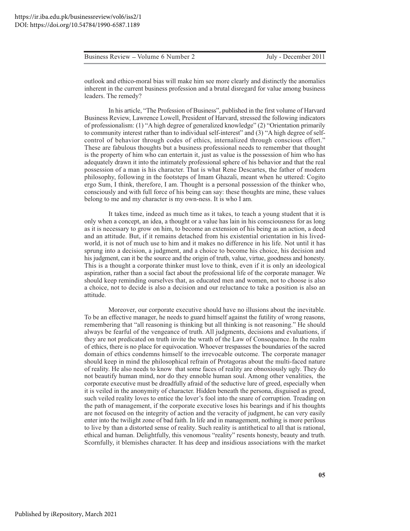outlook and ethico-moral bias will make him see more clearly and distinctly the anomalies inherent in the current business profession and a brutal disregard for value among business leaders. The remedy?

In his article, "The Profession of Business", published in the first volume of Harvard Business Review, Lawrence Lowell, President of Harvard, stressed the following indicators of professionalism: (1) "A high degree of generalized knowledge" (2) "Orientation primarily to community interest rather than to individual self-interest" and (3) "A high degree of selfcontrol of behavior through codes of ethics, internalized through conscious effort." These are fabulous thoughts but a business professional needs to remember that thought is the property of him who can entertain it, just as value is the possession of him who has adequately drawn it into the intimately professional sphere of his behavior and that the real possession of a man is his character. That is what Rene Descartes, the father of modern philosophy, following in the footsteps of Imam Ghazali, meant when he uttered: Cogito ergo Sum, I think, therefore, I am. Thought is a personal possession of the thinker who, consciously and with full force of his being can say: these thoughts are mine, these values belong to me and my character is my own-ness. It is who I am.

It takes time, indeed as much time as it takes, to teach a young student that it is only when a concept, an idea, a thought or a value has lain in his consciousness for as long as it is necessary to grow on him, to become an extension of his being as an action, a deed and an attitude. But, if it remains detached from his existential orientation in his livedworld, it is not of much use to him and it makes no difference in his life. Not until it has sprung into a decision, a judgment, and a choice to become his choice, his decision and his judgment, can it be the source and the origin of truth, value, virtue, goodness and honesty. This is a thought a corporate thinker must love to think, even if it is only an ideological aspiration, rather than a social fact about the professional life of the corporate manager. We should keep reminding ourselves that, as educated men and women, not to choose is also a choice, not to decide is also a decision and our reluctance to take a position is also an attitude.

Moreover, our corporate executive should have no illusions about the inevitable. To be an effective manager, he needs to guard himself against the futility of wrong reasons, remembering that "all reasoning is thinking but all thinking is not reasoning." He should always be fearful of the vengeance of truth. All judgments, decisions and evaluations, if they are not predicated on truth invite the wrath of the Law of Consequence. In the realm of ethics, there is no place for equivocation. Whoever trespasses the boundaries of the sacred domain of ethics condemns himself to the irrevocable outcome. The corporate manager should keep in mind the philosophical refrain of Protagoras about the multi-faced nature of reality. He also needs to know that some faces of reality are obnoxiously ugly. They do not beautify human mind, nor do they ennoble human soul. Among other venalities, the corporate executive must be dreadfully afraid of the seductive lure of greed, especially when it is veiled in the anonymity of character. Hidden beneath the persona, disguised as greed, such veiled reality loves to entice the lover's fool into the snare of corruption. Treading on the path of management, if the corporate executive loses his bearings and if his thoughts are not focused on the integrity of action and the veracity of judgment, he can very easily enter into the twilight zone of bad faith. In life and in management, nothing is more perilous to live by than a distorted sense of reality. Such reality is antithetical to all that is rational, ethical and human. Delightfully, this venomous "reality" resents honesty, beauty and truth. Scornfully, it blemishes character. It has deep and insidious associations with the market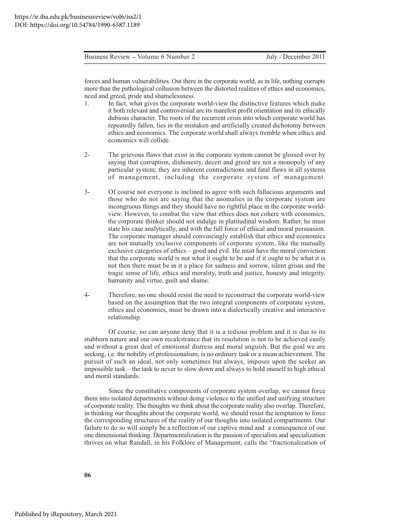forces and human vulnerabilities. Out there in the corporate world, as in life, nothing corrupts more than the pathological collusion between the distorted realities of ethics and economics, need and greed, pride and shamelessness.

- In fact, what gives the corporate world-view the distinctive features which make  $\mathbf{1}$ . it both relevant and controversial are its manifest profit orientation and its ethically dubious character. The roots of the recurrent crisis into which corporate world has repeatedly fallen, lies in the mistaken and artificially created dichotomy between ethics and economics. The corporate world shall always tremble when ethics and economics will collide.
- $2-$ The grievous flaws that exist in the corporate system cannot be glossed over by saying that corruption, dishonesty, deceit and greed are not a monopoly of any particular system; they are inherent contradictions and fatal flaws in all systems of management, including the corporate system of management.
- $3-$ Of course not everyone is inclined to agree with such fallacious arguments and those who do not are saying that the anomalies in the corporate system are incongruous things and they should have no rightful place in the corporate worldview. However, to combat the view that ethics does not cohere with economics, the corporate thinker should not indulge in platitudinal wisdom. Rather, he must state his case analytically, and with the full force of ethical and moral persuasion. The corporate manager should convincingly establish that ethics and economics are not mutually exclusive components of corporate system, like the mutually exclusive categories of ethics – good and evil. He must have the moral conviction that the corporate world is not what it ought to be and if it ought to be what it is not then there must be in it a place for sadness and sorrow, silent groan and the tragic sense of life, ethics and morality, truth and justice, honesty and integrity, humanity and virtue, guilt and shame.
- $4-$ Therefore, no one should resist the need to reconstruct the corporate world-view based on the assumption that the two integral components of corporate system, ethics and economics, must be drawn into a dialectically creative and interactive relationship.

Of course, no can anyone deny that it is a tedious problem and it is due to its stubborn nature and our own recalcitrance that its resolution is not to be achieved easily and without a great deal of emotional distress and moral anguish. But the goal we are seeking, i.e. the nobility of professionalism, is no ordinary task or a mean achievement. The pursuit of such an ideal, not only sometimes but always, imposes upon the seeker an impossible task - the task to never to slow down and always to hold oneself to high ethical and moral standards.

Since the constitutive components of corporate system overlap, we cannot force them into isolated departments without doing violence to the unified and unifying structure of corporate reality. The thoughts we think about the corporate reality also overlap. Therefore, in thinking our thoughts about the corporate world, we should resist the temptation to force the corresponding structures of the reality of our thoughts into isolated compartments. Our failure to do so will simply be a reflection of our captive mind and a consequence of our one dimensional thinking. Departmentalization is the passion of specialists and specialization thrives on what Randall, in his Folklore of Management, calls the "fractionalization of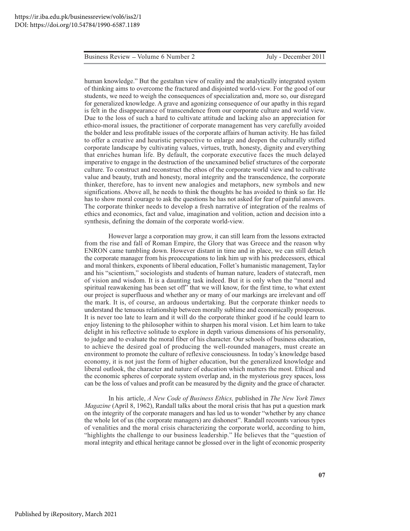human knowledge." But the gestaltan view of reality and the analytically integrated system of thinking aims to overcome the fractured and disjointed world-view. For the good of our students, we need to weigh the consequences of specialization and, more so, our disregard for generalized knowledge. A grave and agonizing consequence of our apathy in this regard is felt in the disappearance of transcendence from our corporate culture and world view. Due to the loss of such a hard to cultivate attitude and lacking also an appreciation for ethico-moral issues, the practitioner of corporate management has very carefully avoided the bolder and less profitable issues of the corporate affairs of human activity. He has failed to offer a creative and heuristic perspective to enlarge and deepen the culturally stifled corporate landscape by cultivating values, virtues, truth, honesty, dignity and everything that enriches human life. By default, the corporate executive faces the much delayed imperative to engage in the destruction of the unexamined belief structures of the corporate culture. To construct and reconstruct the ethos of the corporate world view and to cultivate value and beauty, truth and honesty, moral integrity and the transcendence, the corporate thinker, therefore, has to invent new analogies and metaphors, new symbols and new significations. Above all, he needs to think the thoughts he has avoided to think so far. He has to show moral courage to ask the questions he has not asked for fear of painful answers. The corporate thinker needs to develop a fresh narrative of integration of the realms of ethics and economics, fact and value, imagination and volition, action and decision into a synthesis, defining the domain of the corporate world-view.

However large a corporation may grow, it can still learn from the lessons extracted from the rise and fall of Roman Empire, the Glory that was Greece and the reason why ENRON came tumbling down. However distant in time and in place, we can still detach the corporate manager from his preoccupations to link him up with his predecessors, ethical and moral thinkers, exponents of liberal education, Follet's humanistic management, Taylor and his "scientism," sociologists and students of human nature, leaders of statecraft, men of vision and wisdom. It is a daunting task indeed. But it is only when the "moral and spiritual reawakening has been set off" that we will know, for the first time, to what extent our project is superfluous and whether any or many of our markings are irrelevant and off the mark. It is, of course, an arduous undertaking. But the corporate thinker needs to understand the tenuous relationship between morally sublime and economically prosperous. It is never too late to learn and it will do the corporate thinker good if he could learn to enjoy listening to the philosopher within to sharpen his moral vision. Let him learn to take delight in his reflective solitude to explore in depth various dimensions of his personality, to judge and to evaluate the moral fiber of his character. Our schools of business education, to achieve the desired goal of producing the well-rounded managers, must create an environment to promote the culture of reflexive consciousness. In today's knowledge based economy, it is not just the form of higher education, but the generalized knowledge and liberal outlook, the character and nature of education which matters the most. Ethical and the economic spheres of corporate system overlap and, in the mysterious grey spaces, loss can be the loss of values and profit can be measured by the dignity and the grace of character.

In his article, A New Code of Business Ethics, published in The New York Times *Magazine* (April 8, 1962), Randall talks about the moral crisis that has put a question mark on the integrity of the corporate managers and has led us to wonder "whether by any chance the whole lot of us (the corporate managers) are dishonest". Randall recounts various types of venalities and the moral crisis characterizing the corporate world, according to him, "highlights the challenge to our business leadership." He believes that the "question of moral integrity and ethical heritage cannot be glossed over in the light of economic prosperity